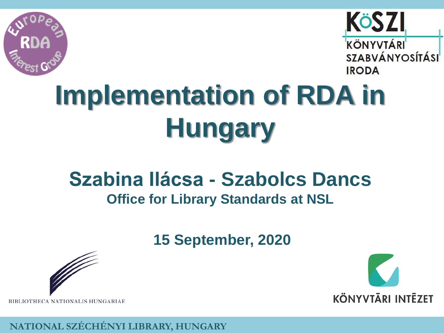



# **Implementation of RDA in Hungary**

#### **Szabina Ilácsa - Szabolcs Dancs Office for Library Standards at NSL**

**15 September, 2020**



**KÖNYVTÄRI INTEZET** 

BIBLIOTHECA NATIONALIS HUNGARIAE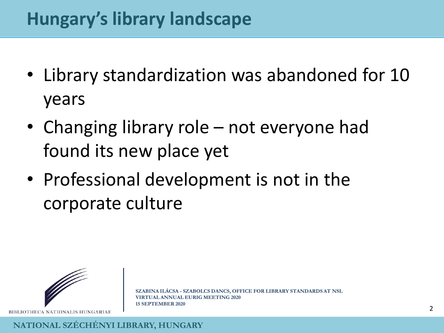#### **Hungary's library landscape**

- Library standardization was abandoned for 10 years
- Changing library role not everyone had found its new place yet
- Professional development is not in the corporate culture



BIBLIOTHECA NATIONALIS HUNGARIAE

**CSA - SZABOLCS DANCS, OFFICE FOR LIBRARY STANDARDS AT NSL VAL ANNUAL EURIG MEETING 2020 15 SEPTEMBER 2020**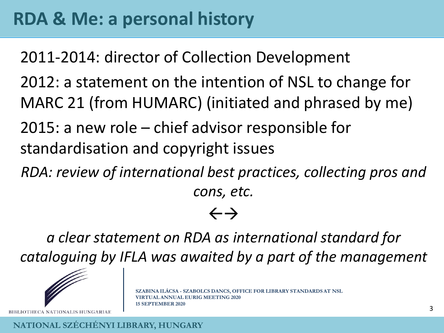2011-2014: director of Collection Development 2012: a statement on the intention of NSL to change for MARC 21 (from HUMARC) (initiated and phrased by me) 2015: a new role – chief advisor responsible for standardisation and copyright issues

*RDA: review of international best practices, collecting pros and cons, etc.*

#### $\leftarrow$   $\rightarrow$

*a clear statement on RDA as international standard for cataloguing by IFLA was awaited by a part of the management*



BIBLIOTHECA NATIONALIS HUNGARIAE

**SZABINA ILÁCSA - SZABOLCS DANCS, OFFICE FOR LIBRARY STANDARDS AT NSL VAL ANNUAL EURIG MEETING 2020 15 SEPTEMBER 2020**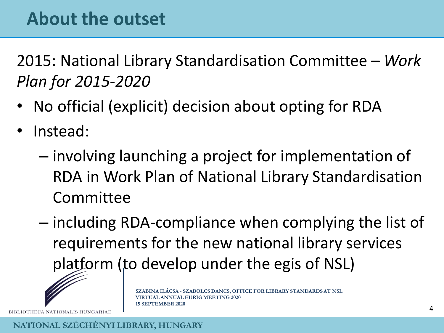2015: National Library Standardisation Committee – *Work Plan for 2015-2020*

- No official (explicit) decision about opting for RDA
- Instead:
	- involving launching a project for implementation of RDA in Work Plan of National Library Standardisation Committee
	- including RDA-compliance when complying the list of requirements for the new national library services platform (to develop under the egis of NSL)



**SZABINA ILÁCSA - SZABOLCS DANCS, OFFICE FOR LIBRARY STANDARDS AT NSL AL ANNUAL EURIG MEETING 2020 15 SEPTEMBER 2020**

BIBLIOTHECA NATIONALIS HUNGARIAE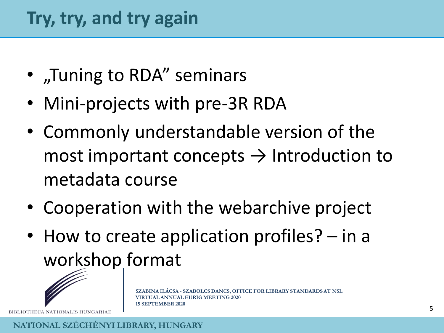- "Tuning to RDA" seminars
- Mini-projects with pre-3R RDA
- Commonly understandable version of the most important concepts  $\rightarrow$  Introduction to metadata course
- Cooperation with the webarchive project
- How to create application profiles? in a workshop format



OTHECA NATIONALIS HUNGARIAE

**ANNUAL EURIG MEETING 2020 15 SEPTEMBER 2020**

**SZABINA ILÁCSA - SZABOLCS DANCS, OFFICE FOR LIBRARY STANDARDS AT NSL**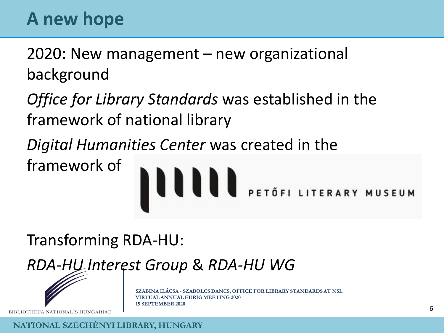### **A new hope**

2020: New management – new organizational background

*Office for Library Standards* was established in the framework of national library

*Digital Humanities Center* was created in the

framework of



Transforming RDA-HU:

*RDA-HU Interest Group* & *RDA-HU WG*



BIBLIOTHECA NATIONALIS HUNGARIAE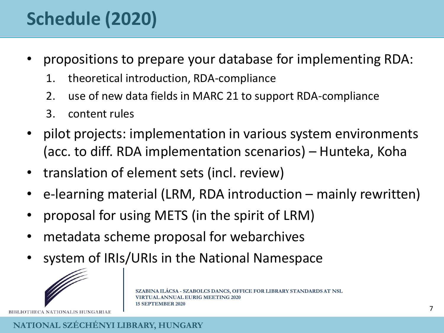## **Schedule (2020)**

- propositions to prepare your database for implementing RDA:
	- 1. theoretical introduction, RDA-compliance
	- 2. use of new data fields in MARC 21 to support RDA-compliance
	- 3. content rules
- pilot projects: implementation in various system environments (acc. to diff. RDA implementation scenarios) – Hunteka, Koha
- translation of element sets (incl. review)
- e-learning material (LRM, RDA introduction mainly rewritten)
- proposal for using METS (in the spirit of LRM)
- metadata scheme proposal for webarchives
- system of IRIs/URIs in the National Namespace



BIBLIOTHECA NATIONALIS HUNGARIAE

**SZABINA ILÁCSA - SZABOLCS DANCS, OFFICE FOR LIBRARY STANDARDS AT NSL VAL ANNUAL EURIG MEETING 2020 15 SEPTEMBER 2020**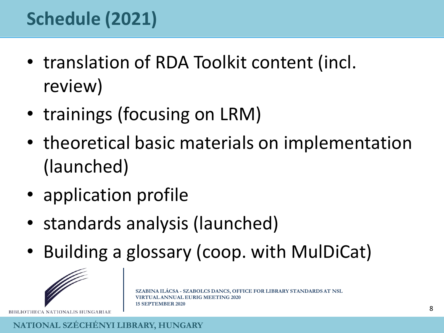### **Schedule (2021)**

- translation of RDA Toolkit content (incl. review)
- trainings (focusing on LRM)
- theoretical basic materials on implementation (launched)
- application profile
- standards analysis (launched)
- Building a glossary (coop. with MulDiCat)



BIBLIOTHECA NATIONALIS HUNGARIAE

**SXA - SZABOLCS DANCS, OFFICE FOR LIBRARY STANDARDS AT NSL VAL ANNUAL EURIG MEETING 2020 15 SEPTEMBER 2020**